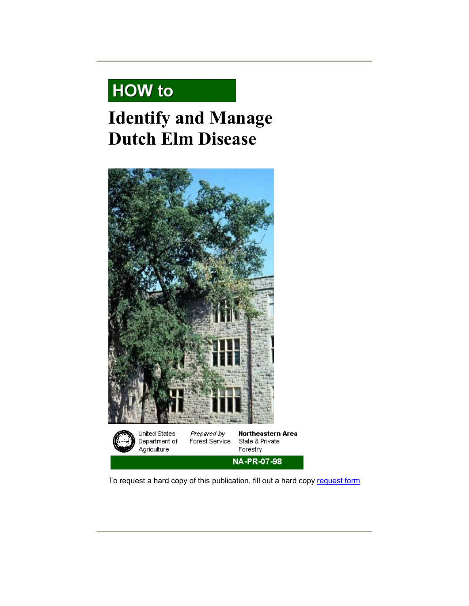# **HOW to**

## **Identify and Manage Dutch Elm Disease**



To request a hard copy of this publication, fill out a hard copy [request form](http://na.fs.fed.us/forms/pubs/docreq.cfm?request=6)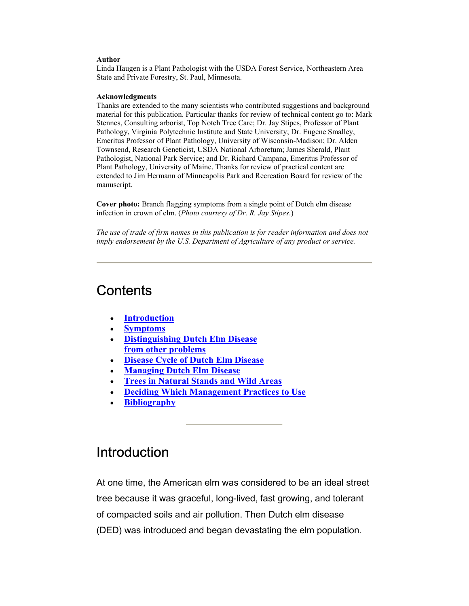#### **Author**

Linda Haugen is a Plant Pathologist with the USDA Forest Service, Northeastern Area State and Private Forestry, St. Paul, Minnesota.

#### **Acknowledgments**

Thanks are extended to the many scientists who contributed suggestions and background material for this publication. Particular thanks for review of technical content go to: Mark Stennes, Consulting arborist, Top Notch Tree Care; Dr. Jay Stipes, Professor of Plant Pathology, Virginia Polytechnic Institute and State University; Dr. Eugene Smalley, Emeritus Professor of Plant Pathology, University of Wisconsin-Madison; Dr. Alden Townsend, Research Geneticist, USDA National Arboretum; James Sherald, Plant Pathologist, National Park Service; and Dr. Richard Campana, Emeritus Professor of Plant Pathology, University of Maine. Thanks for review of practical content are extended to Jim Hermann of Minneapolis Park and Recreation Board for review of the manuscript.

**Cover photo:** Branch flagging symptoms from a single point of Dutch elm disease infection in crown of elm. (*Photo courtesy of Dr. R. Jay Stipes*.)

*The use of trade of firm names in this publication is for reader information and does not imply endorsement by the U.S. Department of Agriculture of any product or service.*

### **Contents**

- **[Introduction](http://na.fs.fed.us/spfo/pubs/howtos/ht_ded/ht_ded.htm)**
- **[Symptoms](http://na.fs.fed.us/spfo/pubs/howtos/ht_ded/ht_ded.htm)**
- **[Distinguishing Dutch Elm Disease](http://na.fs.fed.us/spfo/pubs/howtos/ht_ded/ht_ded.htm) [from other problems](http://na.fs.fed.us/spfo/pubs/howtos/ht_ded/ht_ded.htm)**
- **[Disease Cycle of Dutch Elm Disease](http://na.fs.fed.us/spfo/pubs/howtos/ht_ded/ht_ded.htm)**
- **[Managing Dutch Elm Disease](http://na.fs.fed.us/spfo/pubs/howtos/ht_ded/ht_ded.htm)**
- **[Trees in Natural Stands and Wild Areas](http://na.fs.fed.us/spfo/pubs/howtos/ht_ded/ht_ded.htm)**
- **[Deciding Which Management Practices to Use](http://na.fs.fed.us/spfo/pubs/howtos/ht_ded/ht_ded.htm)**
- **[Bibliography](http://na.fs.fed.us/spfo/pubs/howtos/ht_ded/ht_ded.htm)**

### Introduction

At one time, the American elm was considered to be an ideal street tree because it was graceful, long-lived, fast growing, and tolerant of compacted soils and air pollution. Then Dutch elm disease (DED) was introduced and began devastating the elm population.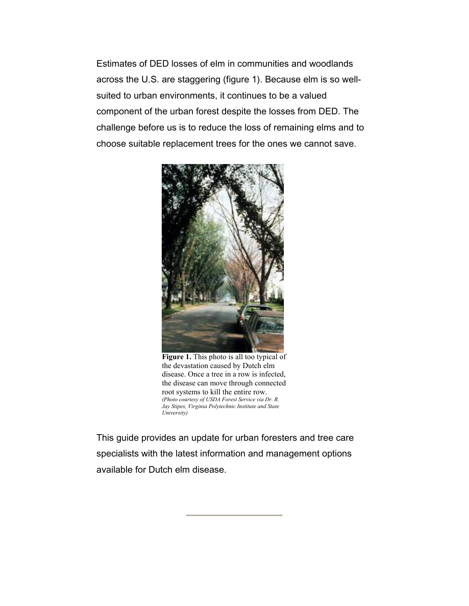Estimates of DED losses of elm in communities and woodlands across the U.S. are staggering (figure 1). Because elm is so wellsuited to urban environments, it continues to be a valued component of the urban forest despite the losses from DED. The challenge before us is to reduce the loss of remaining elms and to choose suitable replacement trees for the ones we cannot save.



**Figure 1.** This photo is all too typical of the devastation caused by Dutch elm disease. Once a tree in a row is infected, the disease can move through connected root systems to kill the entire row. *(Photo courtesy of USDA Forest Service via Dr. R. Jay Stipes, Virginia Polytechnic Institute and State University)*

This guide provides an update for urban foresters and tree care specialists with the latest information and management options available for Dutch elm disease.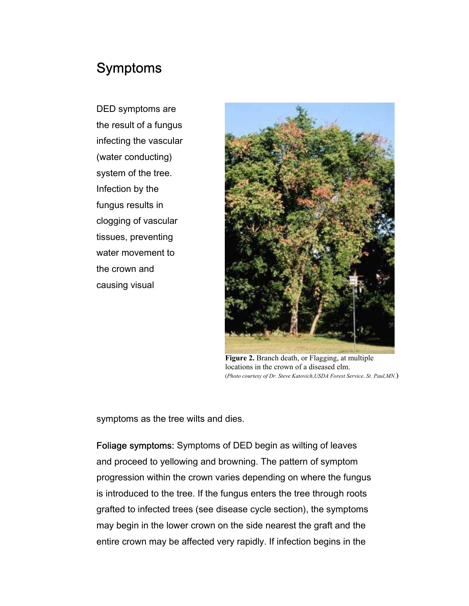### Symptoms

DED symptoms are the result of a fungus infecting the vascular (water conducting) system of the tree. Infection by the fungus results in clogging of vascular tissues, preventing water movement to the crown and causing visual



**Figure 2.** Branch death, or Flagging, at multiple locations in the crown of a diseased elm. (*Photo courtesy of Dr. Steve Katovich,USDA Forest Service, St. Paul,MN.*)

symptoms as the tree wilts and dies.

Foliage symptoms: Symptoms of DED begin as wilting of leaves and proceed to yellowing and browning. The pattern of symptom progression within the crown varies depending on where the fungus is introduced to the tree. If the fungus enters the tree through roots grafted to infected trees (see disease cycle section), the symptoms may begin in the lower crown on the side nearest the graft and the entire crown may be affected very rapidly. If infection begins in the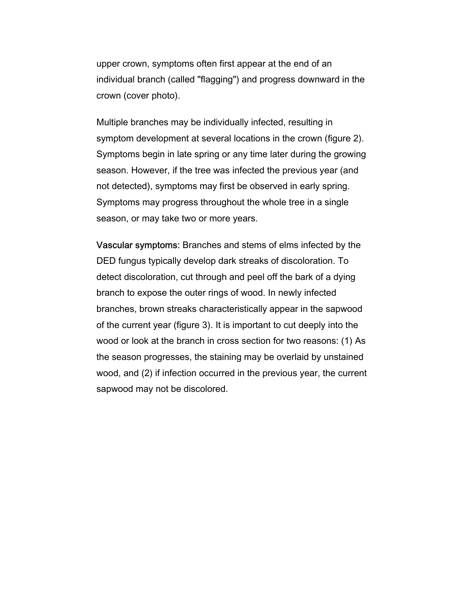upper crown, symptoms often first appear at the end of an individual branch (called "flagging") and progress downward in the crown (cover photo).

Multiple branches may be individually infected, resulting in symptom development at several locations in the crown (figure 2). Symptoms begin in late spring or any time later during the growing season. However, if the tree was infected the previous year (and not detected), symptoms may first be observed in early spring. Symptoms may progress throughout the whole tree in a single season, or may take two or more years.

Vascular symptoms: Branches and stems of elms infected by the DED fungus typically develop dark streaks of discoloration. To detect discoloration, cut through and peel off the bark of a dying branch to expose the outer rings of wood. In newly infected branches, brown streaks characteristically appear in the sapwood of the current year (figure 3). It is important to cut deeply into the wood or look at the branch in cross section for two reasons: (1) As the season progresses, the staining may be overlaid by unstained wood, and (2) if infection occurred in the previous year, the current sapwood may not be discolored.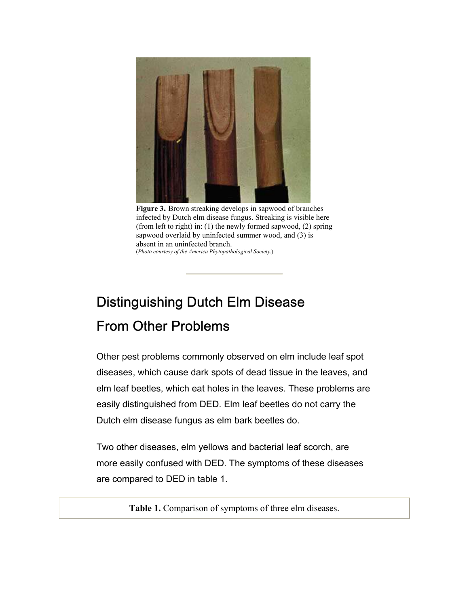

**Figure 3.** Brown streaking develops in sapwood of branches infected by Dutch elm disease fungus. Streaking is visible here (from left to right) in: (1) the newly formed sapwood, (2) spring sapwood overlaid by uninfected summer wood, and (3) is absent in an uninfected branch. (*Photo courtesy of the America Phytopathological Society*.)

## Distinguishing Dutch Elm Disease From Other Problems

Other pest problems commonly observed on elm include leaf spot diseases, which cause dark spots of dead tissue in the leaves, and elm leaf beetles, which eat holes in the leaves. These problems are easily distinguished from DED. Elm leaf beetles do not carry the Dutch elm disease fungus as elm bark beetles do.

Two other diseases, elm yellows and bacterial leaf scorch, are more easily confused with DED. The symptoms of these diseases are compared to DED in table 1.

**Table 1.** Comparison of symptoms of three elm diseases.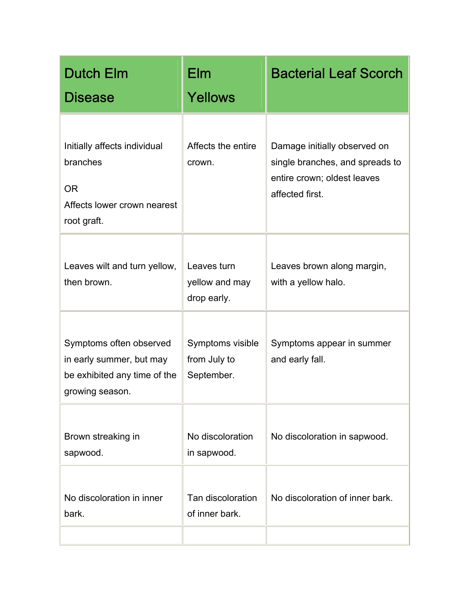| <b>Dutch Elm</b><br><b>Disease</b>                                                                     | Elm<br>Yellows                                 | <b>Bacterial Leaf Scorch</b>                                                                                      |
|--------------------------------------------------------------------------------------------------------|------------------------------------------------|-------------------------------------------------------------------------------------------------------------------|
| Initially affects individual<br>branches<br><b>OR</b><br>Affects lower crown nearest<br>root graft.    | Affects the entire<br>crown.                   | Damage initially observed on<br>single branches, and spreads to<br>entire crown; oldest leaves<br>affected first. |
| Leaves wilt and turn yellow,<br>then brown.                                                            | Leaves turn<br>yellow and may<br>drop early.   | Leaves brown along margin,<br>with a yellow halo.                                                                 |
| Symptoms often observed<br>in early summer, but may<br>be exhibited any time of the<br>growing season. | Symptoms visible<br>from July to<br>September. | Symptoms appear in summer<br>and early fall.                                                                      |
| Brown streaking in<br>sapwood.                                                                         | No discoloration<br>in sapwood.                | No discoloration in sapwood.                                                                                      |
| No discoloration in inner<br>bark.                                                                     | Tan discoloration<br>of inner bark.            | No discoloration of inner bark.                                                                                   |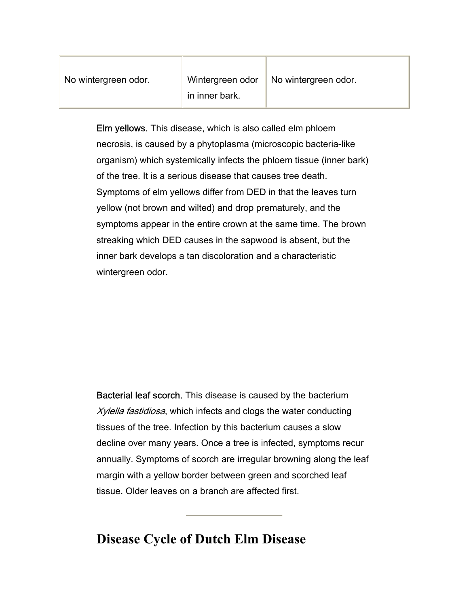| No wintergreen odor. | Wintergreen odor | No wintergreen odor. |
|----------------------|------------------|----------------------|
|                      | in inner bark.   |                      |

Elm yellows. This disease, which is also called elm phloem necrosis, is caused by a phytoplasma (microscopic bacteria-like organism) which systemically infects the phloem tissue (inner bark) of the tree. It is a serious disease that causes tree death. Symptoms of elm yellows differ from DED in that the leaves turn yellow (not brown and wilted) and drop prematurely, and the symptoms appear in the entire crown at the same time. The brown streaking which DED causes in the sapwood is absent, but the inner bark develops a tan discoloration and a characteristic wintergreen odor.

Bacterial leaf scorch. This disease is caused by the bacterium Xylella fastidiosa, which infects and clogs the water conducting tissues of the tree. Infection by this bacterium causes a slow decline over many years. Once a tree is infected, symptoms recur annually. Symptoms of scorch are irregular browning along the leaf margin with a yellow border between green and scorched leaf tissue. Older leaves on a branch are affected first.

### **Disease Cycle of Dutch Elm Disease**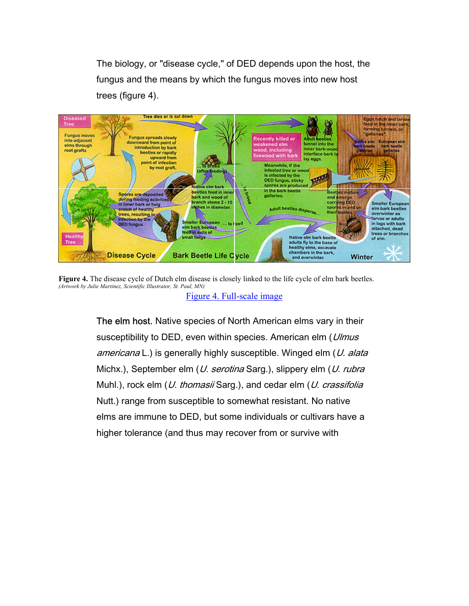The biology, or "disease cycle," of DED depends upon the host, the fungus and the means by which the fungus moves into new host trees (figure 4).



Figure 4. The disease cycle of Dutch elm disease is closely linked to the life cycle of elm bark beetles. *(Artwork by Julie Martinez, Scientific Illustrator, St. Paul, MN)* [Figure 4. Full-scale image](http://na.fs.fed.us/spfo/pubs/howtos/ht_ded/cycle_lg.htm)

The elm host. Native species of North American elms vary in their susceptibility to DED, even within species. American elm (Ulmus) americana L.) is generally highly susceptible. Winged elm (U. alata Michx.), September elm (*U. serotina* Sarg.), slippery elm (*U. rubra*) Muhl.), rock elm (*U. thomasii* Sarg.), and cedar elm (*U. crassifolia* Nutt.) range from susceptible to somewhat resistant. No native elms are immune to DED, but some individuals or cultivars have a higher tolerance (and thus may recover from or survive with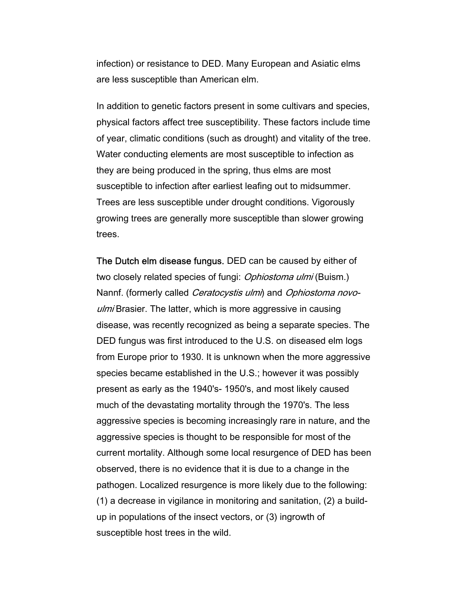infection) or resistance to DED. Many European and Asiatic elms are less susceptible than American elm.

In addition to genetic factors present in some cultivars and species, physical factors affect tree susceptibility. These factors include time of year, climatic conditions (such as drought) and vitality of the tree. Water conducting elements are most susceptible to infection as they are being produced in the spring, thus elms are most susceptible to infection after earliest leafing out to midsummer. Trees are less susceptible under drought conditions. Vigorously growing trees are generally more susceptible than slower growing trees.

The Dutch elm disease fungus. DED can be caused by either of two closely related species of fungi: *Ophiostoma ulmi* (Buism.) Nannf. (formerly called Ceratocystis ulmi) and Ophiostoma novoulmi Brasier. The latter, which is more aggressive in causing disease, was recently recognized as being a separate species. The DED fungus was first introduced to the U.S. on diseased elm logs from Europe prior to 1930. It is unknown when the more aggressive species became established in the U.S.; however it was possibly present as early as the 1940's- 1950's, and most likely caused much of the devastating mortality through the 1970's. The less aggressive species is becoming increasingly rare in nature, and the aggressive species is thought to be responsible for most of the current mortality. Although some local resurgence of DED has been observed, there is no evidence that it is due to a change in the pathogen. Localized resurgence is more likely due to the following: (1) a decrease in vigilance in monitoring and sanitation, (2) a buildup in populations of the insect vectors, or (3) ingrowth of susceptible host trees in the wild.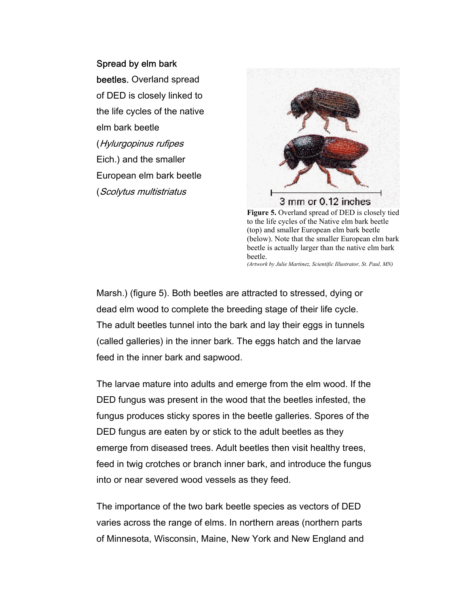#### Spread by elm bark

beetles. Overland spread of DED is closely linked to the life cycles of the native elm bark beetle (Hylurgopinus rufipes Eich.) and the smaller European elm bark beetle (Scolytus multistriatus



**Figure 5.** Overland spread of DED is closely tied to the life cycles of the Native elm bark beetle (top) and smaller European elm bark beetle (below). Note that the smaller European elm bark beetle is actually larger than the native elm bark beetle.

*(Artwork by Julie Martinez, Scientific Illustrator, St. Paul, MN)*

Marsh.) (figure 5). Both beetles are attracted to stressed, dying or dead elm wood to complete the breeding stage of their life cycle. The adult beetles tunnel into the bark and lay their eggs in tunnels (called galleries) in the inner bark. The eggs hatch and the larvae feed in the inner bark and sapwood.

The larvae mature into adults and emerge from the elm wood. If the DED fungus was present in the wood that the beetles infested, the fungus produces sticky spores in the beetle galleries. Spores of the DED fungus are eaten by or stick to the adult beetles as they emerge from diseased trees. Adult beetles then visit healthy trees, feed in twig crotches or branch inner bark, and introduce the fungus into or near severed wood vessels as they feed.

The importance of the two bark beetle species as vectors of DED varies across the range of elms. In northern areas (northern parts of Minnesota, Wisconsin, Maine, New York and New England and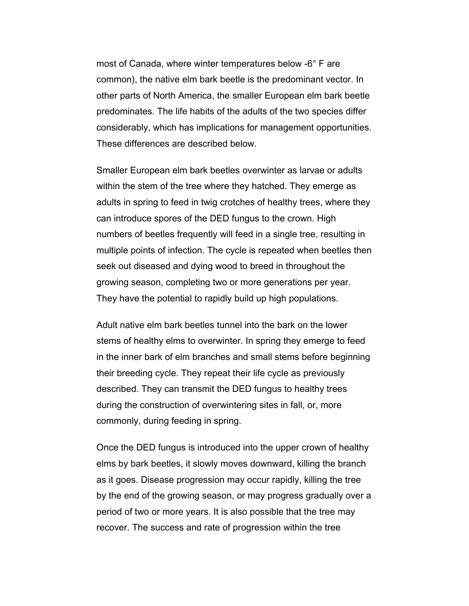most of Canada, where winter temperatures below -6° F are common), the native elm bark beetle is the predominant vector. In other parts of North America, the smaller European elm bark beetle predominates. The life habits of the adults of the two species differ considerably, which has implications for management opportunities. These differences are described below.

Smaller European elm bark beetles overwinter as larvae or adults within the stem of the tree where they hatched. They emerge as adults in spring to feed in twig crotches of healthy trees, where they can introduce spores of the DED fungus to the crown. High numbers of beetles frequently will feed in a single tree, resulting in multiple points of infection. The cycle is repeated when beetles then seek out diseased and dying wood to breed in throughout the growing season, completing two or more generations per year. They have the potential to rapidly build up high populations.

Adult native elm bark beetles tunnel into the bark on the lower stems of healthy elms to overwinter. In spring they emerge to feed in the inner bark of elm branches and small stems before beginning their breeding cycle. They repeat their life cycle as previously described. They can transmit the DED fungus to healthy trees during the construction of overwintering sites in fall, or, more commonly, during feeding in spring.

Once the DED fungus is introduced into the upper crown of healthy elms by bark beetles, it slowly moves downward, killing the branch as it goes. Disease progression may occur rapidly, killing the tree by the end of the growing season, or may progress gradually over a period of two or more years. It is also possible that the tree may recover. The success and rate of progression within the tree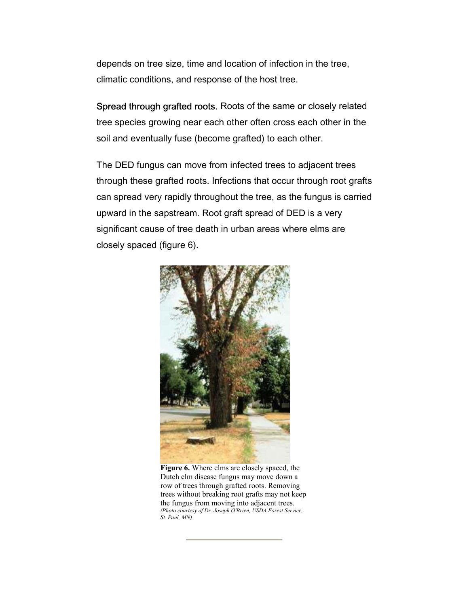depends on tree size, time and location of infection in the tree, climatic conditions, and response of the host tree.

Spread through grafted roots. Roots of the same or closely related tree species growing near each other often cross each other in the soil and eventually fuse (become grafted) to each other.

The DED fungus can move from infected trees to adjacent trees through these grafted roots. Infections that occur through root grafts can spread very rapidly throughout the tree, as the fungus is carried upward in the sapstream. Root graft spread of DED is a very significant cause of tree death in urban areas where elms are closely spaced (figure 6).



**Figure 6.** Where elms are closely spaced, the Dutch elm disease fungus may move down a row of trees through grafted roots. Removing trees without breaking root grafts may not keep the fungus from moving into adjacent trees. *(Photo courtesy of Dr. Joseph O'Brien, USDA Forest Service, St. Paul, MN)*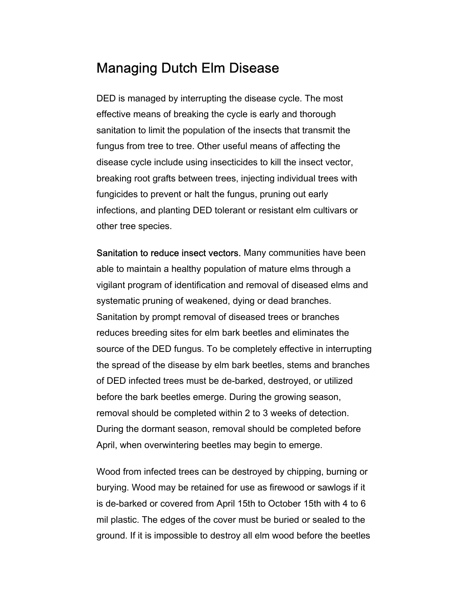### Managing Dutch Elm Disease

DED is managed by interrupting the disease cycle. The most effective means of breaking the cycle is early and thorough sanitation to limit the population of the insects that transmit the fungus from tree to tree. Other useful means of affecting the disease cycle include using insecticides to kill the insect vector, breaking root grafts between trees, injecting individual trees with fungicides to prevent or halt the fungus, pruning out early infections, and planting DED tolerant or resistant elm cultivars or other tree species.

Sanitation to reduce insect vectors. Many communities have been able to maintain a healthy population of mature elms through a vigilant program of identification and removal of diseased elms and systematic pruning of weakened, dying or dead branches. Sanitation by prompt removal of diseased trees or branches reduces breeding sites for elm bark beetles and eliminates the source of the DED fungus. To be completely effective in interrupting the spread of the disease by elm bark beetles, stems and branches of DED infected trees must be de-barked, destroyed, or utilized before the bark beetles emerge. During the growing season, removal should be completed within 2 to 3 weeks of detection. During the dormant season, removal should be completed before April, when overwintering beetles may begin to emerge.

Wood from infected trees can be destroyed by chipping, burning or burying. Wood may be retained for use as firewood or sawlogs if it is de-barked or covered from April 15th to October 15th with 4 to 6 mil plastic. The edges of the cover must be buried or sealed to the ground. If it is impossible to destroy all elm wood before the beetles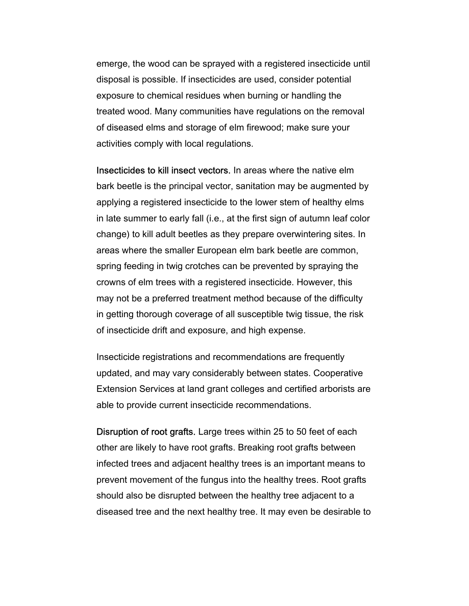emerge, the wood can be sprayed with a registered insecticide until disposal is possible. If insecticides are used, consider potential exposure to chemical residues when burning or handling the treated wood. Many communities have regulations on the removal of diseased elms and storage of elm firewood; make sure your activities comply with local regulations.

Insecticides to kill insect vectors. In areas where the native elm bark beetle is the principal vector, sanitation may be augmented by applying a registered insecticide to the lower stem of healthy elms in late summer to early fall (i.e., at the first sign of autumn leaf color change) to kill adult beetles as they prepare overwintering sites. In areas where the smaller European elm bark beetle are common, spring feeding in twig crotches can be prevented by spraying the crowns of elm trees with a registered insecticide. However, this may not be a preferred treatment method because of the difficulty in getting thorough coverage of all susceptible twig tissue, the risk of insecticide drift and exposure, and high expense.

Insecticide registrations and recommendations are frequently updated, and may vary considerably between states. Cooperative Extension Services at land grant colleges and certified arborists are able to provide current insecticide recommendations.

Disruption of root grafts. Large trees within 25 to 50 feet of each other are likely to have root grafts. Breaking root grafts between infected trees and adjacent healthy trees is an important means to prevent movement of the fungus into the healthy trees. Root grafts should also be disrupted between the healthy tree adjacent to a diseased tree and the next healthy tree. It may even be desirable to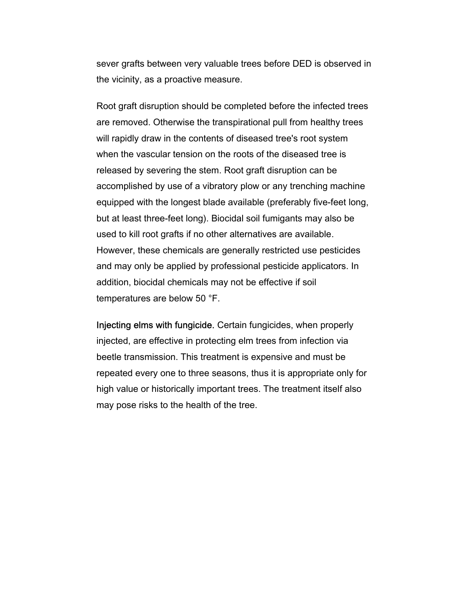sever grafts between very valuable trees before DED is observed in the vicinity, as a proactive measure.

Root graft disruption should be completed before the infected trees are removed. Otherwise the transpirational pull from healthy trees will rapidly draw in the contents of diseased tree's root system when the vascular tension on the roots of the diseased tree is released by severing the stem. Root graft disruption can be accomplished by use of a vibratory plow or any trenching machine equipped with the longest blade available (preferably five-feet long, but at least three-feet long). Biocidal soil fumigants may also be used to kill root grafts if no other alternatives are available. However, these chemicals are generally restricted use pesticides and may only be applied by professional pesticide applicators. In addition, biocidal chemicals may not be effective if soil temperatures are below 50 °F.

Injecting elms with fungicide. Certain fungicides, when properly injected, are effective in protecting elm trees from infection via beetle transmission. This treatment is expensive and must be repeated every one to three seasons, thus it is appropriate only for high value or historically important trees. The treatment itself also may pose risks to the health of the tree.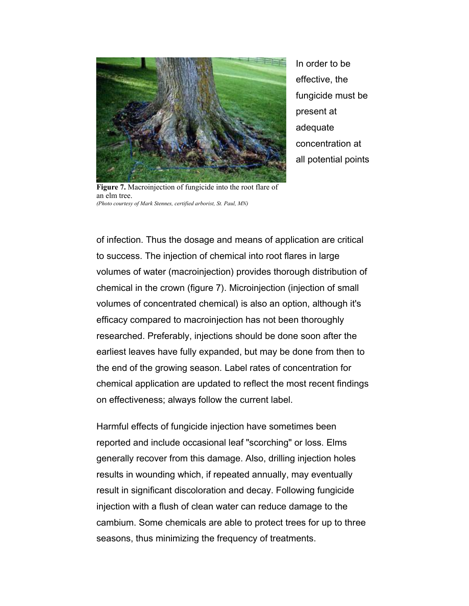

In order to be effective, the fungicide must be present at adequate concentration at all potential points

**Figure 7.** Macroinjection of fungicide into the root flare of an elm tree. *(Photo courtesy of Mark Stennes, certified arborist, St. Paul, MN)*

of infection. Thus the dosage and means of application are critical to success. The injection of chemical into root flares in large volumes of water (macroinjection) provides thorough distribution of chemical in the crown (figure 7). Microinjection (injection of small volumes of concentrated chemical) is also an option, although it's efficacy compared to macroinjection has not been thoroughly researched. Preferably, injections should be done soon after the earliest leaves have fully expanded, but may be done from then to the end of the growing season. Label rates of concentration for chemical application are updated to reflect the most recent findings on effectiveness; always follow the current label.

Harmful effects of fungicide injection have sometimes been reported and include occasional leaf "scorching" or loss. Elms generally recover from this damage. Also, drilling injection holes results in wounding which, if repeated annually, may eventually result in significant discoloration and decay. Following fungicide injection with a flush of clean water can reduce damage to the cambium. Some chemicals are able to protect trees for up to three seasons, thus minimizing the frequency of treatments.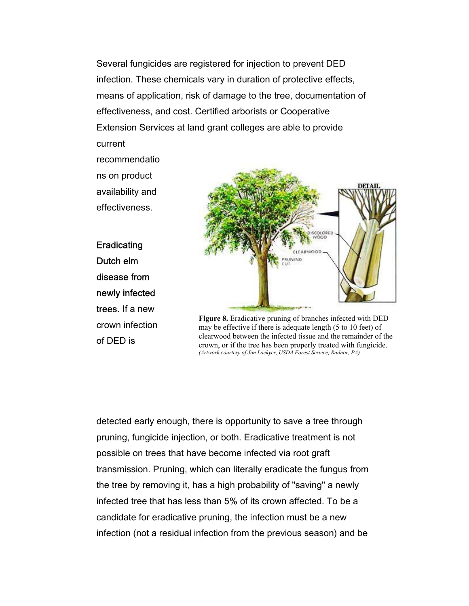Several fungicides are registered for injection to prevent DED infection. These chemicals vary in duration of protective effects, means of application, risk of damage to the tree, documentation of effectiveness, and cost. Certified arborists or Cooperative Extension Services at land grant colleges are able to provide current

recommendatio ns on product availability and effectiveness.

**Eradicating** Dutch elm disease from newly infected trees. If a new crown infection of DED is



**Figure 8.** Eradicative pruning of branches infected with DED may be effective if there is adequate length (5 to 10 feet) of clearwood between the infected tissue and the remainder of the crown, or if the tree has been properly treated with fungicide. *(Artwork courtesy of Jim Lockyer, USDA Forest Service, Radnor, PA)*

detected early enough, there is opportunity to save a tree through pruning, fungicide injection, or both. Eradicative treatment is not possible on trees that have become infected via root graft transmission. Pruning, which can literally eradicate the fungus from the tree by removing it, has a high probability of "saving" a newly infected tree that has less than 5% of its crown affected. To be a candidate for eradicative pruning, the infection must be a new infection (not a residual infection from the previous season) and be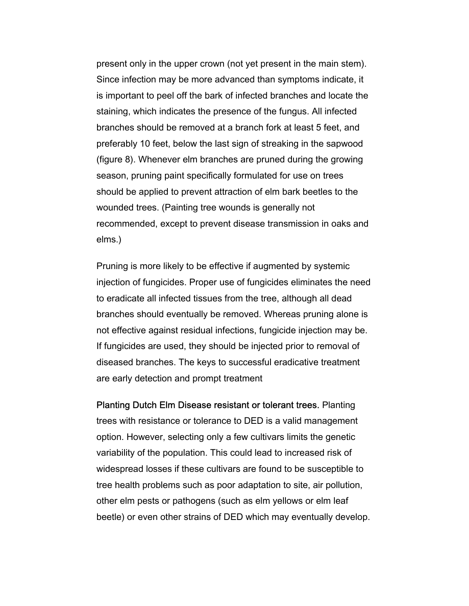present only in the upper crown (not yet present in the main stem). Since infection may be more advanced than symptoms indicate, it is important to peel off the bark of infected branches and locate the staining, which indicates the presence of the fungus. All infected branches should be removed at a branch fork at least 5 feet, and preferably 10 feet, below the last sign of streaking in the sapwood (figure 8). Whenever elm branches are pruned during the growing season, pruning paint specifically formulated for use on trees should be applied to prevent attraction of elm bark beetles to the wounded trees. (Painting tree wounds is generally not recommended, except to prevent disease transmission in oaks and elms.)

Pruning is more likely to be effective if augmented by systemic injection of fungicides. Proper use of fungicides eliminates the need to eradicate all infected tissues from the tree, although all dead branches should eventually be removed. Whereas pruning alone is not effective against residual infections, fungicide injection may be. If fungicides are used, they should be injected prior to removal of diseased branches. The keys to successful eradicative treatment are early detection and prompt treatment

Planting Dutch Elm Disease resistant or tolerant trees. Planting trees with resistance or tolerance to DED is a valid management option. However, selecting only a few cultivars limits the genetic variability of the population. This could lead to increased risk of widespread losses if these cultivars are found to be susceptible to tree health problems such as poor adaptation to site, air pollution, other elm pests or pathogens (such as elm yellows or elm leaf beetle) or even other strains of DED which may eventually develop.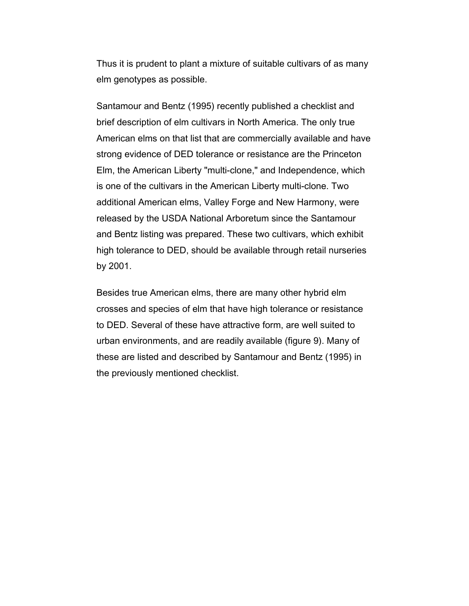Thus it is prudent to plant a mixture of suitable cultivars of as many elm genotypes as possible.

Santamour and Bentz (1995) recently published a checklist and brief description of elm cultivars in North America. The only true American elms on that list that are commercially available and have strong evidence of DED tolerance or resistance are the Princeton Elm, the American Liberty "multi-clone," and Independence, which is one of the cultivars in the American Liberty multi-clone. Two additional American elms, Valley Forge and New Harmony, were released by the USDA National Arboretum since the Santamour and Bentz listing was prepared. These two cultivars, which exhibit high tolerance to DED, should be available through retail nurseries by 2001.

Besides true American elms, there are many other hybrid elm crosses and species of elm that have high tolerance or resistance to DED. Several of these have attractive form, are well suited to urban environments, and are readily available (figure 9). Many of these are listed and described by Santamour and Bentz (1995) in the previously mentioned checklist.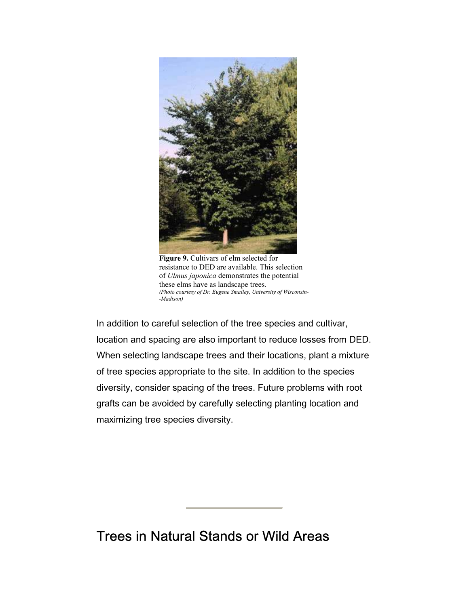

**Figure 9.** Cultivars of elm selected for resistance to DED are available. This selection of *Ulmus japonica* demonstrates the potential these elms have as landscape trees. *(Photo courtesy of Dr. Eugene Smalley, University of Wisconsin- -Madison)*

In addition to careful selection of the tree species and cultivar, location and spacing are also important to reduce losses from DED. When selecting landscape trees and their locations, plant a mixture of tree species appropriate to the site. In addition to the species diversity, consider spacing of the trees. Future problems with root grafts can be avoided by carefully selecting planting location and maximizing tree species diversity.

Trees in Natural Stands or Wild Areas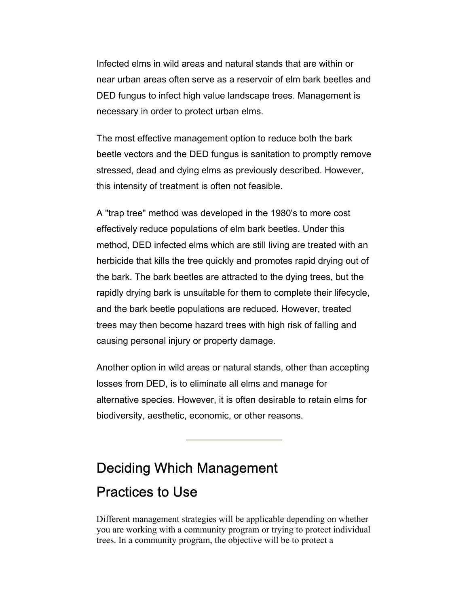Infected elms in wild areas and natural stands that are within or near urban areas often serve as a reservoir of elm bark beetles and DED fungus to infect high value landscape trees. Management is necessary in order to protect urban elms.

The most effective management option to reduce both the bark beetle vectors and the DED fungus is sanitation to promptly remove stressed, dead and dying elms as previously described. However, this intensity of treatment is often not feasible.

A "trap tree" method was developed in the 1980's to more cost effectively reduce populations of elm bark beetles. Under this method, DED infected elms which are still living are treated with an herbicide that kills the tree quickly and promotes rapid drying out of the bark. The bark beetles are attracted to the dying trees, but the rapidly drying bark is unsuitable for them to complete their lifecycle, and the bark beetle populations are reduced. However, treated trees may then become hazard trees with high risk of falling and causing personal injury or property damage.

Another option in wild areas or natural stands, other than accepting losses from DED, is to eliminate all elms and manage for alternative species. However, it is often desirable to retain elms for biodiversity, aesthetic, economic, or other reasons.

## Deciding Which Management Practices to Use

Different management strategies will be applicable depending on whether you are working with a community program or trying to protect individual trees. In a community program, the objective will be to protect a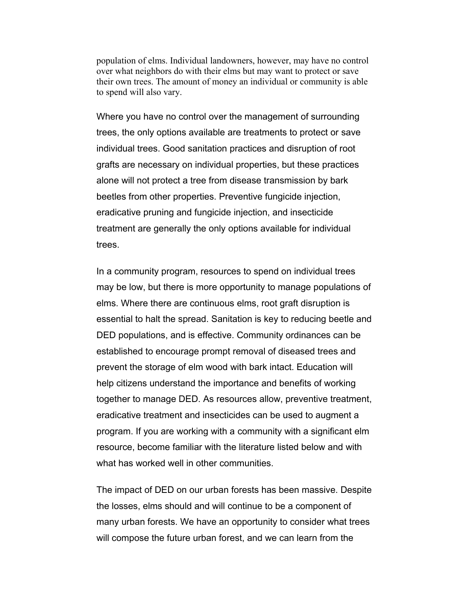population of elms. Individual landowners, however, may have no control over what neighbors do with their elms but may want to protect or save their own trees. The amount of money an individual or community is able to spend will also vary.

Where you have no control over the management of surrounding trees, the only options available are treatments to protect or save individual trees. Good sanitation practices and disruption of root grafts are necessary on individual properties, but these practices alone will not protect a tree from disease transmission by bark beetles from other properties. Preventive fungicide injection, eradicative pruning and fungicide injection, and insecticide treatment are generally the only options available for individual trees.

In a community program, resources to spend on individual trees may be low, but there is more opportunity to manage populations of elms. Where there are continuous elms, root graft disruption is essential to halt the spread. Sanitation is key to reducing beetle and DED populations, and is effective. Community ordinances can be established to encourage prompt removal of diseased trees and prevent the storage of elm wood with bark intact. Education will help citizens understand the importance and benefits of working together to manage DED. As resources allow, preventive treatment, eradicative treatment and insecticides can be used to augment a program. If you are working with a community with a significant elm resource, become familiar with the literature listed below and with what has worked well in other communities.

The impact of DED on our urban forests has been massive. Despite the losses, elms should and will continue to be a component of many urban forests. We have an opportunity to consider what trees will compose the future urban forest, and we can learn from the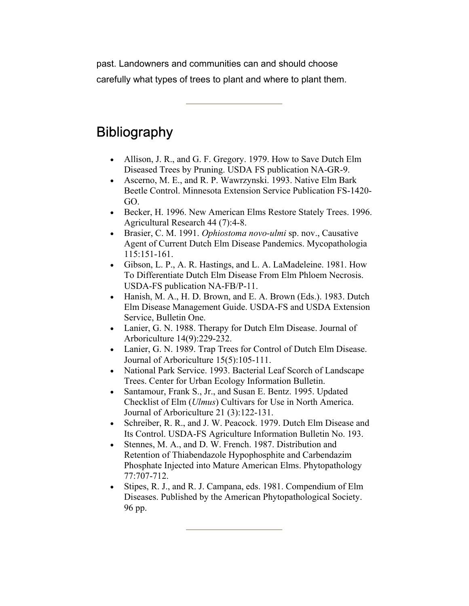past. Landowners and communities can and should choose carefully what types of trees to plant and where to plant them.

## **Bibliography**

- Allison, J. R., and G. F. Gregory. 1979. How to Save Dutch Elm Diseased Trees by Pruning. USDA FS publication NA-GR-9.
- Ascerno, M. E., and R. P. Wawrzynski. 1993. Native Elm Bark Beetle Control. Minnesota Extension Service Publication FS-1420- GO.
- Becker, H. 1996. New American Elms Restore Stately Trees. 1996. Agricultural Research 44 (7):4-8.
- Brasier, C. M. 1991. *Ophiostoma novo-ulmi* sp. nov., Causative Agent of Current Dutch Elm Disease Pandemics. Mycopathologia 115:151-161.
- Gibson, L. P., A. R. Hastings, and L. A. LaMadeleine. 1981. How To Differentiate Dutch Elm Disease From Elm Phloem Necrosis. USDA-FS publication NA-FB/P-11.
- Hanish, M. A., H. D. Brown, and E. A. Brown (Eds.). 1983. Dutch Elm Disease Management Guide. USDA-FS and USDA Extension Service, Bulletin One.
- Lanier, G. N. 1988. Therapy for Dutch Elm Disease. Journal of Arboriculture 14(9):229-232.
- Lanier, G. N. 1989. Trap Trees for Control of Dutch Elm Disease. Journal of Arboriculture 15(5):105-111.
- National Park Service. 1993. Bacterial Leaf Scorch of Landscape Trees. Center for Urban Ecology Information Bulletin.
- Santamour, Frank S., Jr., and Susan E. Bentz. 1995. Updated Checklist of Elm (*Ulmus*) Cultivars for Use in North America. Journal of Arboriculture 21 (3):122-131.
- Schreiber, R. R., and J. W. Peacock. 1979. Dutch Elm Disease and Its Control. USDA-FS Agriculture Information Bulletin No. 193.
- Stennes, M. A., and D. W. French. 1987. Distribution and Retention of Thiabendazole Hypophosphite and Carbendazim Phosphate Injected into Mature American Elms. Phytopathology 77:707-712.
- Stipes, R. J., and R. J. Campana, eds. 1981. Compendium of Elm Diseases. Published by the American Phytopathological Society. 96 pp.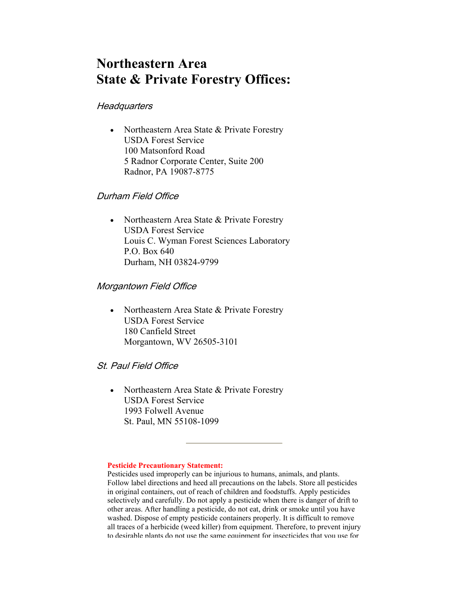### **Northeastern Area State & Private Forestry Offices:**

### **Headquarters**

• Northeastern Area State & Private Forestry USDA Forest Service 100 Matsonford Road 5 Radnor Corporate Center, Suite 200 Radnor, PA 19087-8775

### Durham Field Office

• Northeastern Area State & Private Forestry USDA Forest Service Louis C. Wyman Forest Sciences Laboratory P.O. Box 640 Durham, NH 03824-9799

#### Morgantown Field Office

• Northeastern Area State & Private Forestry USDA Forest Service 180 Canfield Street Morgantown, WV 26505-3101

### St. Paul Field Office

• Northeastern Area State & Private Forestry USDA Forest Service 1993 Folwell Avenue St. Paul, MN 55108-1099

#### **Pesticide Precautionary Statement:**

Pesticides used improperly can be injurious to humans, animals, and plants. Follow label directions and heed all precautions on the labels. Store all pesticides in original containers, out of reach of children and foodstuffs. Apply pesticides selectively and carefully. Do not apply a pesticide when there is danger of drift to other areas. After handling a pesticide, do not eat, drink or smoke until you have washed. Dispose of empty pesticide containers properly. It is difficult to remove all traces of a herbicide (weed killer) from equipment. Therefore, to prevent injury to desirable plants do not use the same equipment for insecticides that you use for